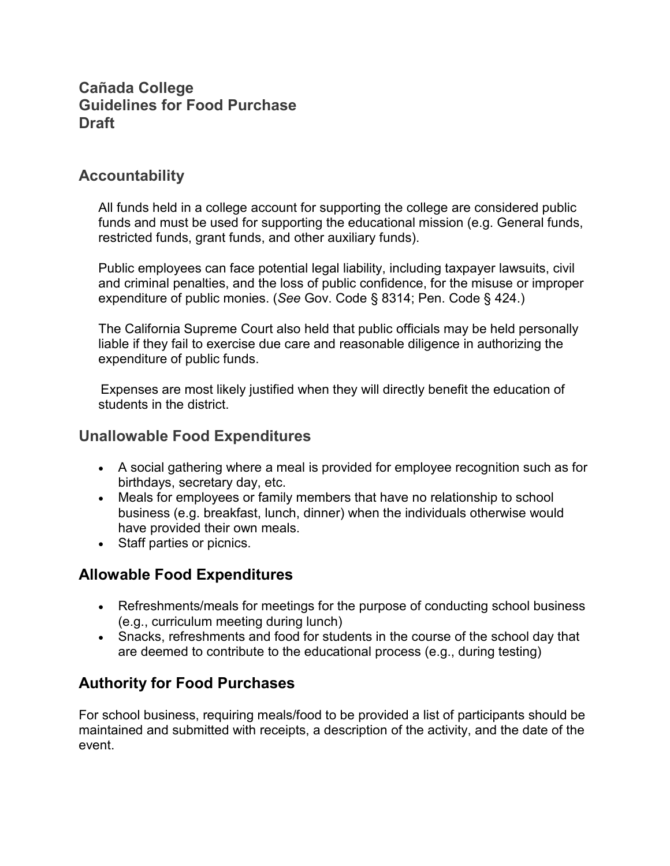## **Cañada College Guidelines for Food Purchase Draft**

## **Accountability**

All funds held in a college account for supporting the college are considered public funds and must be used for supporting the educational mission (e.g. General funds, restricted funds, grant funds, and other auxiliary funds).

Public employees can face potential legal liability, including taxpayer lawsuits, civil and criminal penalties, and the loss of public confidence, for the misuse or improper expenditure of public monies. (*See* Gov. Code § 8314; Pen. Code § 424.)

The California Supreme Court also held that public officials may be held personally liable if they fail to exercise due care and reasonable diligence in authorizing the expenditure of public funds.

 Expenses are most likely justified when they will directly benefit the education of students in the district.

#### **Unallowable Food Expenditures**

- A social gathering where a meal is provided for employee recognition such as for birthdays, secretary day, etc.
- Meals for employees or family members that have no relationship to school business (e.g. breakfast, lunch, dinner) when the individuals otherwise would have provided their own meals.
- Staff parties or picnics.

## **Allowable Food Expenditures**

- Refreshments/meals for meetings for the purpose of conducting school business (e.g., curriculum meeting during lunch)
- Snacks, refreshments and food for students in the course of the school day that are deemed to contribute to the educational process (e.g., during testing)

# **Authority for Food Purchases**

For school business, requiring meals/food to be provided a list of participants should be maintained and submitted with receipts, a description of the activity, and the date of the event.